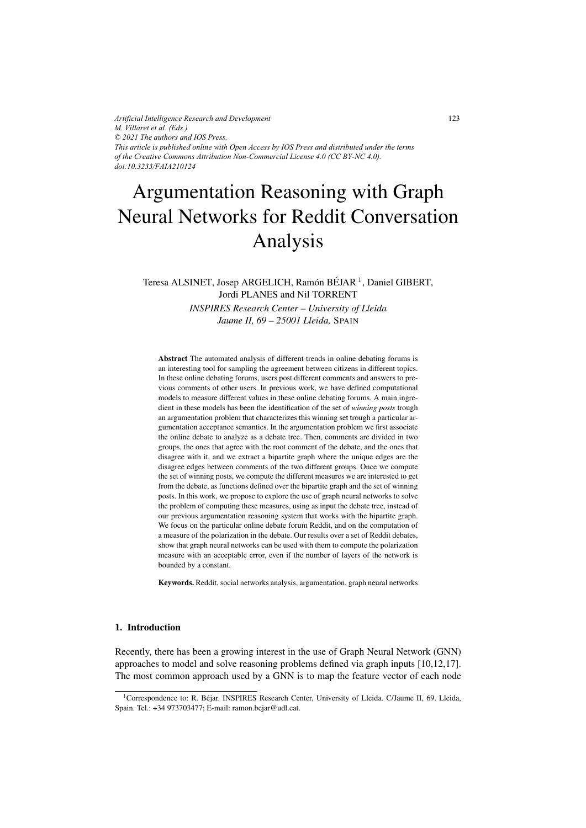*Artificial Intelligence Research and Development M. Villaret et al. (Eds.) © 2021 The authors and IOS Press. This article is published online with Open Access by IOS Press and distributed under the terms of the Creative Commons Attribution Non-Commercial License 4.0 (CC BY-NC 4.0). doi:10.3233/FAIA210124*

# Argumentation Reasoning with Graph Neural Networks for Reddit Conversation Analysis

## Teresa ALSINET, Josep ARGELICH, Ramón BÉJAR<sup>1</sup>, Daniel GIBERT, Jordi PLANES and Nil TORRENT

*INSPIRES Research Center – University of Lleida Jaume II, 69 – 25001 Lleida,* SPAIN

Abstract The automated analysis of different trends in online debating forums is an interesting tool for sampling the agreement between citizens in different topics. In these online debating forums, users post different comments and answers to previous comments of other users. In previous work, we have defined computational models to measure different values in these online debating forums. A main ingredient in these models has been the identification of the set of *winning posts* trough an argumentation problem that characterizes this winning set trough a particular argumentation acceptance semantics. In the argumentation problem we first associate the online debate to analyze as a debate tree. Then, comments are divided in two groups, the ones that agree with the root comment of the debate, and the ones that disagree with it, and we extract a bipartite graph where the unique edges are the disagree edges between comments of the two different groups. Once we compute the set of winning posts, we compute the different measures we are interested to get from the debate, as functions defined over the bipartite graph and the set of winning posts. In this work, we propose to explore the use of graph neural networks to solve the problem of computing these measures, using as input the debate tree, instead of our previous argumentation reasoning system that works with the bipartite graph. We focus on the particular online debate forum Reddit, and on the computation of a measure of the polarization in the debate. Our results over a set of Reddit debates, show that graph neural networks can be used with them to compute the polarization measure with an acceptable error, even if the number of layers of the network is bounded by a constant.

Keywords. Reddit, social networks analysis, argumentation, graph neural networks

## 1. Introduction

Recently, there has been a growing interest in the use of Graph Neural Network (GNN) approaches to model and solve reasoning problems defined via graph inputs [10,12,17]. The most common approach used by a GNN is to map the feature vector of each node

<sup>&</sup>lt;sup>1</sup>Correspondence to: R. Béjar. INSPIRES Research Center, University of Lleida. C/Jaume II, 69. Lleida, Spain. Tel.: +34 973703477; E-mail: ramon.bejar@udl.cat.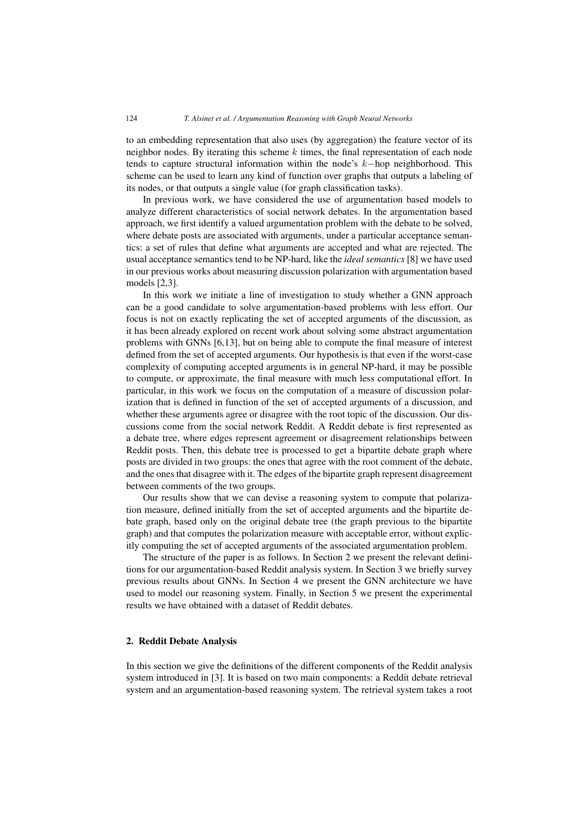to an embedding representation that also uses (by aggregation) the feature vector of its neighbor nodes. By iterating this scheme  $k$  times, the final representation of each node tends to capture structural information within the node's k−hop neighborhood. This scheme can be used to learn any kind of function over graphs that outputs a labeling of its nodes, or that outputs a single value (for graph classification tasks).

In previous work, we have considered the use of argumentation based models to analyze different characteristics of social network debates. In the argumentation based approach, we first identify a valued argumentation problem with the debate to be solved, where debate posts are associated with arguments, under a particular acceptance semantics: a set of rules that define what arguments are accepted and what are rejected. The usual acceptance semantics tend to be NP-hard, like the *ideal semantics* [8] we have used in our previous works about measuring discussion polarization with argumentation based models [2,3].

In this work we initiate a line of investigation to study whether a GNN approach can be a good candidate to solve argumentation-based problems with less effort. Our focus is not on exactly replicating the set of accepted arguments of the discussion, as it has been already explored on recent work about solving some abstract argumentation problems with GNNs [6,13], but on being able to compute the final measure of interest defined from the set of accepted arguments. Our hypothesis is that even if the worst-case complexity of computing accepted arguments is in general NP-hard, it may be possible to compute, or approximate, the final measure with much less computational effort. In particular, in this work we focus on the computation of a measure of discussion polarization that is defined in function of the set of accepted arguments of a discussion, and whether these arguments agree or disagree with the root topic of the discussion. Our discussions come from the social network Reddit. A Reddit debate is first represented as a debate tree, where edges represent agreement or disagreement relationships between Reddit posts. Then, this debate tree is processed to get a bipartite debate graph where posts are divided in two groups: the ones that agree with the root comment of the debate, and the ones that disagree with it. The edges of the bipartite graph represent disagreement between comments of the two groups.

Our results show that we can devise a reasoning system to compute that polarization measure, defined initially from the set of accepted arguments and the bipartite debate graph, based only on the original debate tree (the graph previous to the bipartite graph) and that computes the polarization measure with acceptable error, without explicitly computing the set of accepted arguments of the associated argumentation problem.

The structure of the paper is as follows. In Section 2 we present the relevant definitions for our argumentation-based Reddit analysis system. In Section 3 we briefly survey previous results about GNNs. In Section 4 we present the GNN architecture we have used to model our reasoning system. Finally, in Section 5 we present the experimental results we have obtained with a dataset of Reddit debates.

## 2. Reddit Debate Analysis

In this section we give the definitions of the different components of the Reddit analysis system introduced in [3]. It is based on two main components: a Reddit debate retrieval system and an argumentation-based reasoning system. The retrieval system takes a root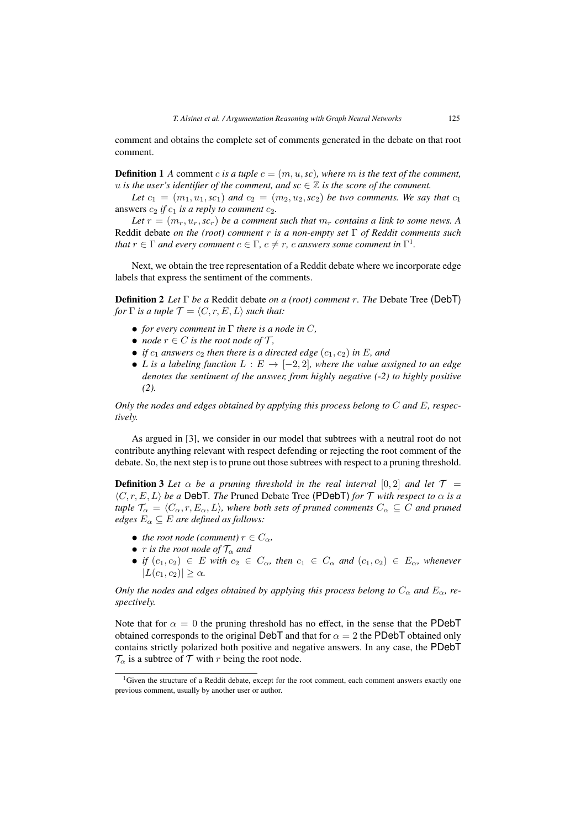comment and obtains the complete set of comments generated in the debate on that root comment.

**Definition 1** *A* comment *c is a tuple*  $c = (m, u, sc)$ *, where m is the text of the comment, u* is the user's identifier of the comment, and  $\mathit{sc} \in \mathbb{Z}$  is the score of the comment.

Let  $c_1 = (m_1, u_1, \textit{sc}_1)$  and  $c_2 = (m_2, u_2, \textit{sc}_2)$  be two comments. We say that  $c_1$ answers  $c_2$  *if*  $c_1$  *is a reply to comment*  $c_2$ *.* 

Let  $r = (m_r, u_r, sc_r)$  *be a comment such that*  $m_r$  *contains a link to some news.* A Reddit debate *on the (root) comment* r *is a non-empty set* Γ *of Reddit comments such that*  $r \in \Gamma$  *and every comment*  $c \in \Gamma$ ,  $c \neq r$ , *c answers some comment in*  $\Gamma^1$ *.* 

Next, we obtain the tree representation of a Reddit debate where we incorporate edge labels that express the sentiment of the comments.

Definition 2 *Let* Γ *be a* Reddit debate *on a (root) comment* r*. The* Debate Tree (DebT) *for*  $\Gamma$  *is a tuple*  $\mathcal{T} = \langle C, r, E, L \rangle$  *such that:* 

- *• for every comment in* Γ *there is a node in* C*,*
- *node*  $r \in C$  *is the root node of*  $T$ *,*
- *if*  $c_1$  *answers*  $c_2$  *then there is a directed edge*  $(c_1, c_2)$  *in* E, *and*
- *L* is a labeling function  $L : E \to [-2, 2]$ *, where the value assigned to an edge denotes the sentiment of the answer, from highly negative (-2) to highly positive (2).*

*Only the nodes and edges obtained by applying this process belong to* C *and* E*, respectively.*

As argued in [3], we consider in our model that subtrees with a neutral root do not contribute anything relevant with respect defending or rejecting the root comment of the debate. So, the next step is to prune out those subtrees with respect to a pruning threshold.

**Definition 3** Let  $\alpha$  be a pruning threshold in the real interval [0, 2] and let  $\mathcal{T} =$  $\langle C, r, E, L \rangle$  be a DebT. The Pruned Debate Tree (PDebT) *for*  $\mathcal T$  *with respect to*  $\alpha$  *is a tuple*  $\mathcal{T}_{\alpha} = \langle C_{\alpha}, r, E_{\alpha}, L \rangle$ , where both sets of pruned comments  $C_{\alpha} \subseteq C$  and pruned *edges*  $E_{\alpha} \subseteq E$  *are defined as follows:* 

- *the root node (comment)*  $r \in C_\alpha$ *,*
- *r is the root node of*  $\mathcal{T}_{\alpha}$  *and*
- *if*  $(c_1, c_2) \in E$  *with*  $c_2 \in C_\alpha$ *, then*  $c_1 \in C_\alpha$  *and*  $(c_1, c_2) \in E_\alpha$ *, whenever*  $|L(c_1, c_2)| > \alpha$ .

*Only the nodes and edges obtained by applying this process belong to*  $C_{\alpha}$  *and*  $E_{\alpha}$ *, respectively.*

Note that for  $\alpha = 0$  the pruning threshold has no effect, in the sense that the PDebT obtained corresponds to the original DebT and that for  $\alpha = 2$  the PDebT obtained only contains strictly polarized both positive and negative answers. In any case, the PDebT  $\mathcal{T}_{\alpha}$  is a subtree of  $\mathcal{T}$  with r being the root node.

<sup>&</sup>lt;sup>1</sup>Given the structure of a Reddit debate, except for the root comment, each comment answers exactly one previous comment, usually by another user or author.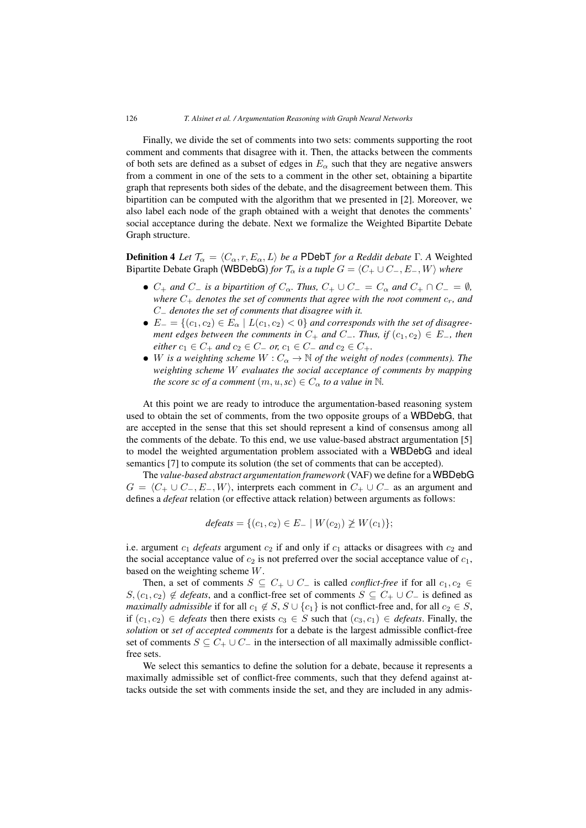Finally, we divide the set of comments into two sets: comments supporting the root comment and comments that disagree with it. Then, the attacks between the comments of both sets are defined as a subset of edges in  $E_\alpha$  such that they are negative answers from a comment in one of the sets to a comment in the other set, obtaining a bipartite graph that represents both sides of the debate, and the disagreement between them. This bipartition can be computed with the algorithm that we presented in [2]. Moreover, we also label each node of the graph obtained with a weight that denotes the comments' social acceptance during the debate. Next we formalize the Weighted Bipartite Debate Graph structure.

**Definition 4** Let  $\mathcal{T}_{\alpha} = \langle C_{\alpha}, r, E_{\alpha}, L \rangle$  be a PDebT for a Reddit debate  $\Gamma$ . A Weighted Bipartite Debate Graph (WBDebG) *for*  $\mathcal{T}_{\alpha}$  *is a tuple*  $G = \langle C_+ \cup C_-, E_-, W \rangle$  *where* 

- $C_+$  *and*  $C_-$  *is a bipartition of*  $C_\alpha$ *. Thus,*  $C_+ \cup C_- = C_\alpha$  *and*  $C_+ \cap C_- = \emptyset$ *, where*  $C_+$  *denotes the set of comments that agree with the root comment*  $c_r$ *, and* C<sup>−</sup> *denotes the set of comments that disagree with it.*
- $E_{-} = \{(c_1, c_2) \in E_{\alpha} \mid L(c_1, c_2) < 0\}$  *and corresponds with the set of disagreement edges between the comments in*  $C_+$  *and*  $C_-$ *. Thus, if*  $(c_1, c_2) \in E_+$ *, then either*  $c_1 \in C_+$  *and*  $c_2 \in C_-$  *or,*  $c_1 \in C_-$  *and*  $c_2 \in C_+$ *.*
- *W is a weighting scheme*  $W : C_{\alpha} \to \mathbb{N}$  *of the weight of nodes (comments). The weighting scheme* W *evaluates the social acceptance of comments by mapping the score sc of a comment*  $(m, u, sc) \in C_\alpha$  *to a value in* N.

At this point we are ready to introduce the argumentation-based reasoning system used to obtain the set of comments, from the two opposite groups of a WBDebG, that are accepted in the sense that this set should represent a kind of consensus among all the comments of the debate. To this end, we use value-based abstract argumentation [5] to model the weighted argumentation problem associated with a WBDebG and ideal semantics [7] to compute its solution (the set of comments that can be accepted).

The *value-based abstract argumentation framework* (VAF) we define for a WBDebG  $G = \langle C_+ \cup C_-, E_-, W \rangle$ , interprets each comment in  $C_+ \cup C_-$  as an argument and defines a *defeat* relation (or effective attack relation) between arguments as follows:

$$
defeats = \{(c_1, c_2) \in E_- \mid W(c_2) \geq W(c_1)\};
$$

i.e. argument  $c_1$  *defeats* argument  $c_2$  if and only if  $c_1$  attacks or disagrees with  $c_2$  and the social acceptance value of  $c_2$  is not preferred over the social acceptance value of  $c_1$ , based on the weighting scheme W.

Then, a set of comments  $S \subseteq C_+ \cup C_-$  is called *conflict-free* if for all  $c_1, c_2 \in$ S,  $(c_1, c_2)$  ∉ *defeats*, and a conflict-free set of comments  $S \subseteq C_+ \cup C_-$  is defined as *maximally admissible* if for all  $c_1 \notin S$ ,  $S \cup \{c_1\}$  is not conflict-free and, for all  $c_2 \in S$ , if  $(c_1, c_2) \in$  *defeats* then there exists  $c_3 \in S$  such that  $(c_3, c_1) \in$  *defeats*. Finally, the *solution* or *set of accepted comments* for a debate is the largest admissible conflict-free set of comments  $S \subseteq C_+ \cup C_-$  in the intersection of all maximally admissible conflictfree sets.

We select this semantics to define the solution for a debate, because it represents a maximally admissible set of conflict-free comments, such that they defend against attacks outside the set with comments inside the set, and they are included in any admis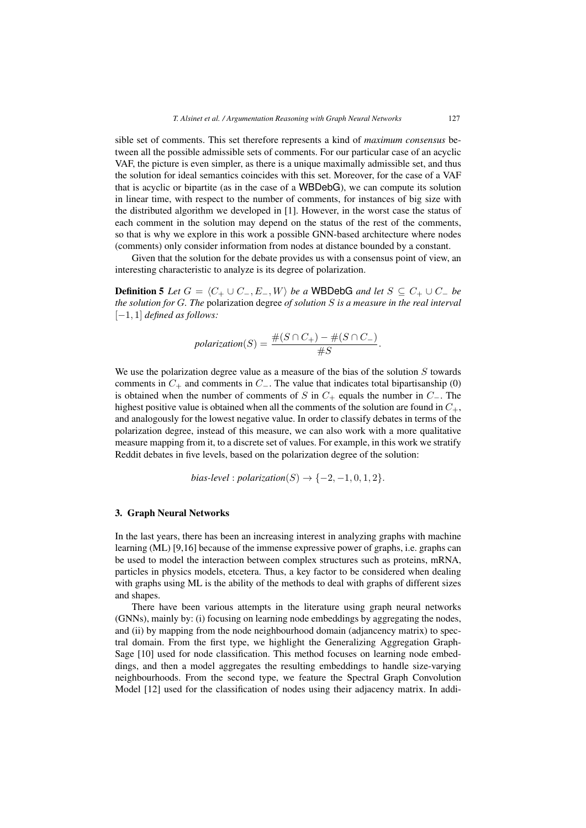sible set of comments. This set therefore represents a kind of *maximum consensus* between all the possible admissible sets of comments. For our particular case of an acyclic VAF, the picture is even simpler, as there is a unique maximally admissible set, and thus the solution for ideal semantics coincides with this set. Moreover, for the case of a VAF that is acyclic or bipartite (as in the case of a WBDebG), we can compute its solution in linear time, with respect to the number of comments, for instances of big size with the distributed algorithm we developed in [1]. However, in the worst case the status of each comment in the solution may depend on the status of the rest of the comments, so that is why we explore in this work a possible GNN-based architecture where nodes (comments) only consider information from nodes at distance bounded by a constant.

Given that the solution for the debate provides us with a consensus point of view, an interesting characteristic to analyze is its degree of polarization.

**Definition 5** *Let*  $G = \langle C_+ \cup C_-, E_-, W \rangle$  *be a* WBDebG *and let*  $S \subseteq C_+ \cup C_-$  *be the solution for* G*. The* polarization degree *of solution* S *is a measure in the real interval* [−1, 1] *defined as follows:*

$$
polarization(S) = \frac{\#(S \cap C_+) - \#(S \cap C_-)}{\#S}.
$$

We use the polarization degree value as a measure of the bias of the solution  $S$  towards comments in  $C_+$  and comments in  $C_-\$ . The value that indicates total bipartisanship (0) is obtained when the number of comments of S in  $C_+$  equals the number in  $C_-.$  The highest positive value is obtained when all the comments of the solution are found in  $C_{+}$ , and analogously for the lowest negative value. In order to classify debates in terms of the polarization degree, instead of this measure, we can also work with a more qualitative measure mapping from it, to a discrete set of values. For example, in this work we stratify Reddit debates in five levels, based on the polarization degree of the solution:

bias-level : polarization(S) 
$$
\rightarrow
$$
 { $-2, -1, 0, 1, 2$  }.

#### 3. Graph Neural Networks

In the last years, there has been an increasing interest in analyzing graphs with machine learning (ML) [9,16] because of the immense expressive power of graphs, i.e. graphs can be used to model the interaction between complex structures such as proteins, mRNA, particles in physics models, etcetera. Thus, a key factor to be considered when dealing with graphs using ML is the ability of the methods to deal with graphs of different sizes and shapes.

There have been various attempts in the literature using graph neural networks (GNNs), mainly by: (i) focusing on learning node embeddings by aggregating the nodes, and (ii) by mapping from the node neighbourhood domain (adjancency matrix) to spectral domain. From the first type, we highlight the Generalizing Aggregation Graph-Sage [10] used for node classification. This method focuses on learning node embeddings, and then a model aggregates the resulting embeddings to handle size-varying neighbourhoods. From the second type, we feature the Spectral Graph Convolution Model [12] used for the classification of nodes using their adjacency matrix. In addi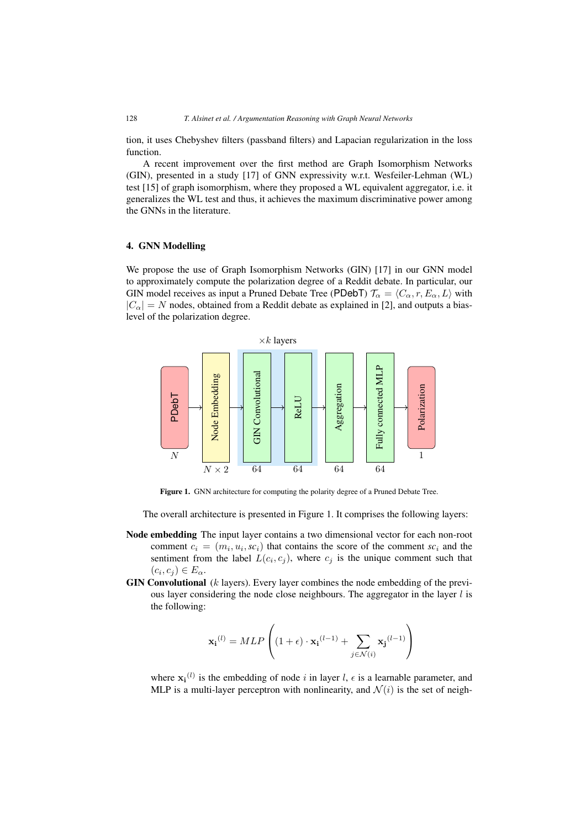tion, it uses Chebyshev filters (passband filters) and Lapacian regularization in the loss function.

A recent improvement over the first method are Graph Isomorphism Networks (GIN), presented in a study [17] of GNN expressivity w.r.t. Wesfeiler-Lehman (WL) test [15] of graph isomorphism, where they proposed a WL equivalent aggregator, i.e. it generalizes the WL test and thus, it achieves the maximum discriminative power among the GNNs in the literature.

## 4. GNN Modelling

We propose the use of Graph Isomorphism Networks (GIN) [17] in our GNN model to approximately compute the polarization degree of a Reddit debate. In particular, our GIN model receives as input a Pruned Debate Tree (PDebT)  $\mathcal{T}_{\alpha} = \langle C_{\alpha}, r, E_{\alpha}, L \rangle$  with  $|C_{\alpha}| = N$  nodes, obtained from a Reddit debate as explained in [2], and outputs a biaslevel of the polarization degree.



Figure 1. GNN architecture for computing the polarity degree of a Pruned Debate Tree.

The overall architecture is presented in Figure 1. It comprises the following layers:

- Node embedding The input layer contains a two dimensional vector for each non-root comment  $c_i = (m_i, u_i, sc_i)$  that contains the score of the comment  $sc_i$  and the sentiment from the label  $L(c_i, c_j)$ , where  $c_j$  is the unique comment such that  $(c_i, c_j) \in E_\alpha$ .
- **GIN Convolutional**  $(k \text{ layers})$ . Every layer combines the node embedding of the previous layer considering the node close neighbours. The aggregator in the layer  $l$  is the following:

$$
\mathbf{x_i}^{(l)} = MLP\left( (1 + \epsilon) \cdot \mathbf{x_i}^{(l-1)} + \sum_{j \in \mathcal{N}(i)} \mathbf{x_j}^{(l-1)} \right)
$$

where  $\mathbf{x_i}^{(l)}$  is the embedding of node i in layer l,  $\epsilon$  is a learnable parameter, and MLP is a multi-layer perceptron with nonlinearity, and  $\mathcal{N}(i)$  is the set of neigh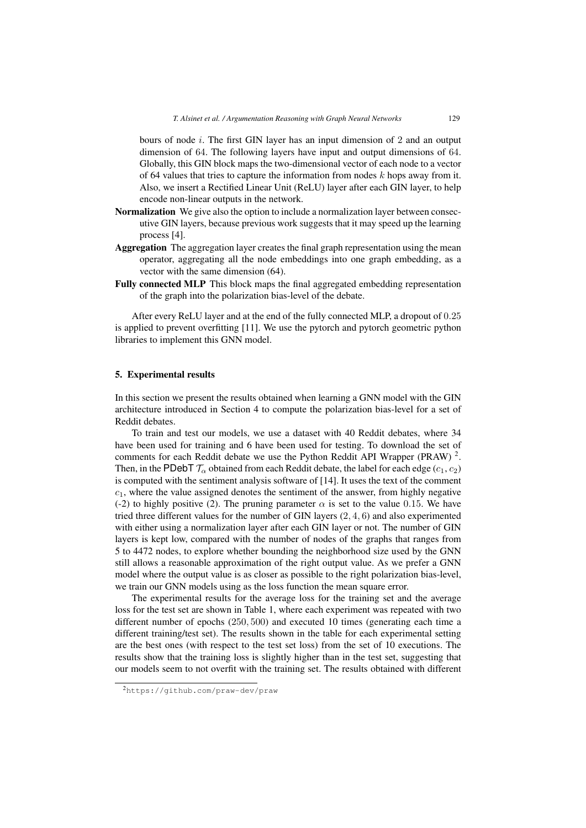bours of node i. The first GIN layer has an input dimension of 2 and an output dimension of 64. The following layers have input and output dimensions of 64. Globally, this GIN block maps the two-dimensional vector of each node to a vector of 64 values that tries to capture the information from nodes  $k$  hops away from it. Also, we insert a Rectified Linear Unit (ReLU) layer after each GIN layer, to help encode non-linear outputs in the network.

- Normalization We give also the option to include a normalization layer between consecutive GIN layers, because previous work suggests that it may speed up the learning process [4].
- Aggregation The aggregation layer creates the final graph representation using the mean operator, aggregating all the node embeddings into one graph embedding, as a vector with the same dimension (64).
- Fully connected MLP This block maps the final aggregated embedding representation of the graph into the polarization bias-level of the debate.

After every ReLU layer and at the end of the fully connected MLP, a dropout of 0.25 is applied to prevent overfitting [11]. We use the pytorch and pytorch geometric python libraries to implement this GNN model.

#### 5. Experimental results

In this section we present the results obtained when learning a GNN model with the GIN architecture introduced in Section 4 to compute the polarization bias-level for a set of Reddit debates.

To train and test our models, we use a dataset with 40 Reddit debates, where 34 have been used for training and 6 have been used for testing. To download the set of comments for each Reddit debate we use the Python Reddit API Wrapper (PRAW)  $^2$ . Then, in the PDebT  $\mathcal{T}_{\alpha}$  obtained from each Reddit debate, the label for each edge ( $c_1, c_2$ ) is computed with the sentiment analysis software of [14]. It uses the text of the comment  $c_1$ , where the value assigned denotes the sentiment of the answer, from highly negative (-2) to highly positive (2). The pruning parameter  $\alpha$  is set to the value 0.15. We have tried three different values for the number of GIN layers (2, 4, 6) and also experimented with either using a normalization layer after each GIN layer or not. The number of GIN layers is kept low, compared with the number of nodes of the graphs that ranges from 5 to 4472 nodes, to explore whether bounding the neighborhood size used by the GNN still allows a reasonable approximation of the right output value. As we prefer a GNN model where the output value is as closer as possible to the right polarization bias-level, we train our GNN models using as the loss function the mean square error.

The experimental results for the average loss for the training set and the average loss for the test set are shown in Table 1, where each experiment was repeated with two different number of epochs (250, 500) and executed 10 times (generating each time a different training/test set). The results shown in the table for each experimental setting are the best ones (with respect to the test set loss) from the set of 10 executions. The results show that the training loss is slightly higher than in the test set, suggesting that our models seem to not overfit with the training set. The results obtained with different

<sup>2</sup>https://github.com/praw-dev/praw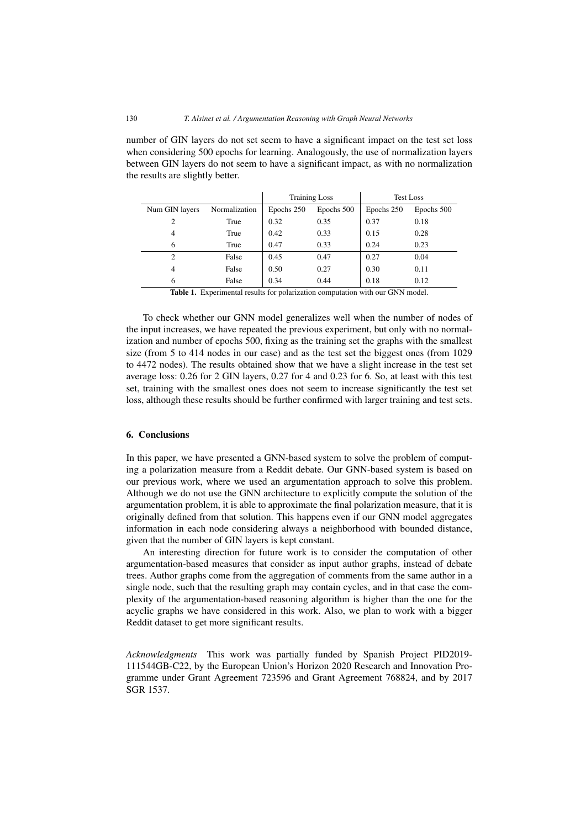number of GIN layers do not set seem to have a significant impact on the test set loss when considering 500 epochs for learning. Analogously, the use of normalization layers between GIN layers do not seem to have a significant impact, as with no normalization the results are slightly better.

|                |               | <b>Training Loss</b> |            | <b>Test Loss</b> |            |
|----------------|---------------|----------------------|------------|------------------|------------|
| Num GIN layers | Normalization | Epochs 250           | Epochs 500 | Epochs 250       | Epochs 500 |
| 2              | True          | 0.32                 | 0.35       | 0.37             | 0.18       |
| 4              | True          | 0.42                 | 0.33       | 0.15             | 0.28       |
| 6              | True          | 0.47                 | 0.33       | 0.24             | 0.23       |
| 2              | False         | 0.45                 | 0.47       | 0.27             | 0.04       |
| 4              | False         | 0.50                 | 0.27       | 0.30             | 0.11       |
| 6              | False         | 0.34                 | 0.44       | 0.18             | 0.12       |

Table 1. Experimental results for polarization computation with our GNN model.

To check whether our GNN model generalizes well when the number of nodes of the input increases, we have repeated the previous experiment, but only with no normalization and number of epochs 500, fixing as the training set the graphs with the smallest size (from 5 to 414 nodes in our case) and as the test set the biggest ones (from 1029 to 4472 nodes). The results obtained show that we have a slight increase in the test set average loss: 0.26 for 2 GIN layers, 0.27 for 4 and 0.23 for 6. So, at least with this test set, training with the smallest ones does not seem to increase significantly the test set loss, although these results should be further confirmed with larger training and test sets.

## 6. Conclusions

In this paper, we have presented a GNN-based system to solve the problem of computing a polarization measure from a Reddit debate. Our GNN-based system is based on our previous work, where we used an argumentation approach to solve this problem. Although we do not use the GNN architecture to explicitly compute the solution of the argumentation problem, it is able to approximate the final polarization measure, that it is originally defined from that solution. This happens even if our GNN model aggregates information in each node considering always a neighborhood with bounded distance, given that the number of GIN layers is kept constant.

An interesting direction for future work is to consider the computation of other argumentation-based measures that consider as input author graphs, instead of debate trees. Author graphs come from the aggregation of comments from the same author in a single node, such that the resulting graph may contain cycles, and in that case the complexity of the argumentation-based reasoning algorithm is higher than the one for the acyclic graphs we have considered in this work. Also, we plan to work with a bigger Reddit dataset to get more significant results.

*Acknowledgments* This work was partially funded by Spanish Project PID2019- 111544GB-C22, by the European Union's Horizon 2020 Research and Innovation Programme under Grant Agreement 723596 and Grant Agreement 768824, and by 2017 SGR 1537.